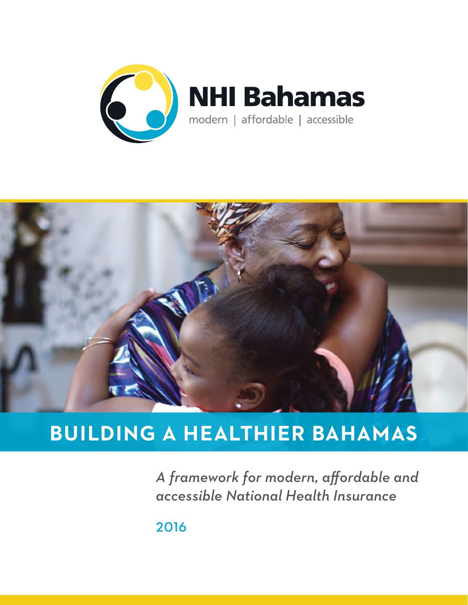



## **BUILDING A HEALTHIER BAHAMAS**

*A framework for modern, affordable and accessible National Health Insurance*

2016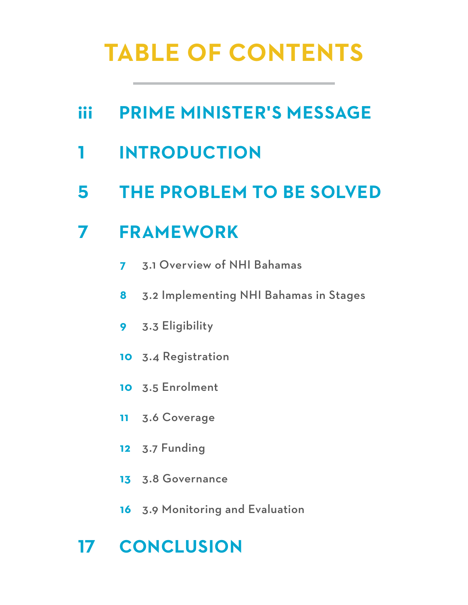# **TABLE OF CONTENTS**

- **iii [PRIME MINISTER](#page-2-0)'S [MESSAGE](#page-2-0)**
- **[INTRODUCTION](#page-3-0)**
- **[THE PROBLEM TO BE SOLVED](#page-7-0)**

## **[FRAMEWORK](#page-9-0)**

- [3.1 Overview of NHI Bahamas](#page-9-0)
- [3.2 Implementing NHI Bahamas in Stages](#page-10-0)
- [3.3 Eligibility](#page-11-0)
- [3.4 Registration](#page-12-0)
- [3.5 Enrolment](#page-12-0)
- [3.6 Coverage](#page-13-0)
- [3.7 Funding](#page-14-0)
- [3.8 Governance](#page-15-0)
- [3.9 Monitoring and Evaluation](#page-18-0)

## **[CONCLUSION](#page-19-0)**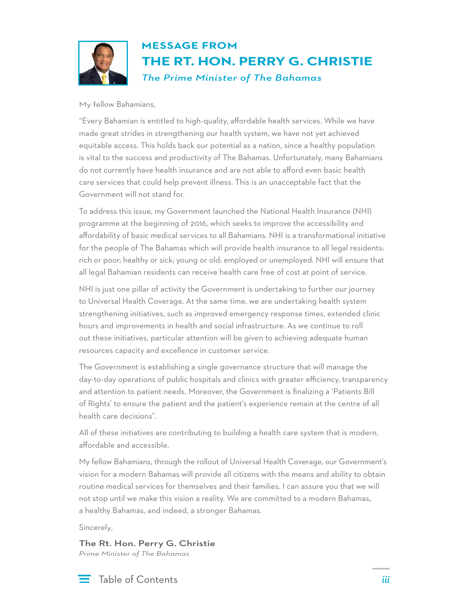<span id="page-2-0"></span>

#### **MESSAGE FROM THE RT. HON. PERRY G. CHRISTIE**  *The Prime Minister of The Bahamas*

My fellow Bahamians,

"Every Bahamian is entitled to high-quality, affordable health services. While we have made great strides in strengthening our health system, we have not yet achieved equitable access. This holds back our potential as a nation, since a healthy population is vital to the success and productivity of The Bahamas. Unfortunately, many Bahamians do not currently have health insurance and are not able to afford even basic health care services that could help prevent illness. This is an unacceptable fact that the Government will not stand for.

To address this issue, my Government launched the National Health Insurance (NHI) programme at the beginning of 2016, which seeks to improve the accessibility and affordability of basic medical services to all Bahamians. NHI is a transformational initiative for the people of The Bahamas which will provide health insurance to all legal residents: rich or poor; healthy or sick; young or old; employed or unemployed. NHI will ensure that all legal Bahamian residents can receive health care free of cost at point of service.

NHI is just one pillar of activity the Government is undertaking to further our journey to Universal Health Coverage. At the same time, we are undertaking health system strengthening initiatives, such as improved emergency response times, extended clinic hours and improvements in health and social infrastructure. As we continue to roll out these initiatives, particular attention will be given to achieving adequate human resources capacity and excellence in customer service.

The Government is establishing a single governance structure that will manage the day-to-day operations of public hospitals and clinics with greater efficiency, transparency and attention to patient needs. Moreover, the Government is finalizing a 'Patients Bill of Rights' to ensure the patient and the patient's experience remain at the centre of all health care decisions".

All of these initiatives are contributing to building a health care system that is modern, affordable and accessible.

My fellow Bahamians, through the rollout of Universal Health Coverage, our Government's vision for a modern Bahamas will provide all citizens with the means and ability to obtain routine medical services for themselves and their families. I can assure you that we will not stop until we make this vision a reality. We are committed to a modern Bahamas, a healthy Bahamas, and indeed, a stronger Bahamas.

Sincerely,

The Rt. Hon. Perry G. Christie *Prime Minister of The Bahamas*

Table of Contents

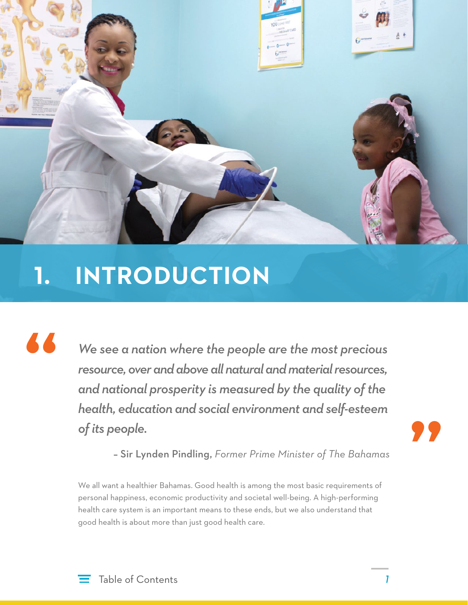<span id="page-3-0"></span>

# **1. INTRODUCTION**

*We see a nation where the people are the most precious resource, over and above all natural and material resources, and national prosperity is measured by the quality of the health, education and social environment and self-esteem of its people.* 

**"**

– Sir Lynden Pindling, *Former Prime Minister of The Bahamas*

We all want a healthier Bahamas. Good health is among the most basic requirements of personal happiness, economic productivity and societal well-being. A high-performing health care system is an important means to these ends, but we also understand that good health is about more than just good health care.

**"**

*1*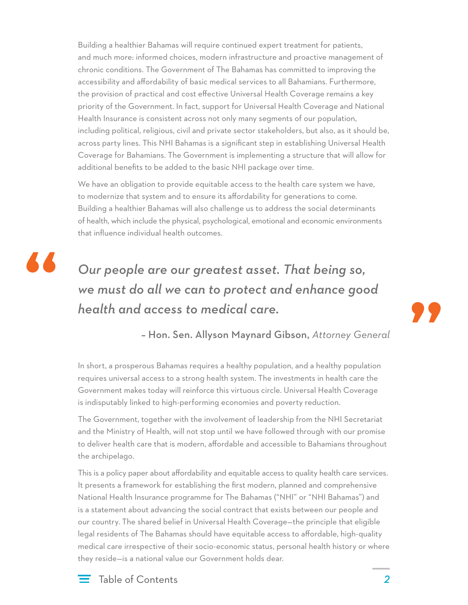Building a healthier Bahamas will require continued expert treatment for patients, and much more: informed choices, modern infrastructure and proactive management of chronic conditions. The Government of The Bahamas has committed to improving the accessibility and affordability of basic medical services to all Bahamians. Furthermore, the provision of practical and cost effective Universal Health Coverage remains a key priority of the Government. In fact, support for Universal Health Coverage and National Health Insurance is consistent across not only many segments of our population, including political, religious, civil and private sector stakeholders, but also, as it should be, across party lines. This NHI Bahamas is a significant step in establishing Universal Health Coverage for Bahamians. The Government is implementing a structure that will allow for additional benefits to be added to the basic NHI package over time.

We have an obligation to provide equitable access to the health care system we have, to modernize that system and to ensure its affordability for generations to come. Building a healthier Bahamas will also challenge us to address the social determinants of health, which include the physical, psychological, emotional and economic environments that influence individual health outcomes.



#### *Our people are our greatest asset. That being so, we must do all we can to protect and enhance good health and access to medical care.*



– Hon. Sen. Allyson Maynard Gibson, *Attorney General*

In short, a prosperous Bahamas requires a healthy population, and a healthy population requires universal access to a strong health system. The investments in health care the Government makes today will reinforce this virtuous circle. Universal Health Coverage is indisputably linked to high-performing economies and poverty reduction.

The Government, together with the involvement of leadership from the NHI Secretariat and the Ministry of Health, will not stop until we have followed through with our promise to deliver health care that is modern, affordable and accessible to Bahamians throughout the archipelago.

This is a policy paper about affordability and equitable access to quality health care services. It presents a framework for establishing the first modern, planned and comprehensive National Health Insurance programme for The Bahamas ("NHI" or "NHI Bahamas") and is a statement about advancing the social contract that exists between our people and our country. The shared belief in Universal Health Coverage—the principle that eligible legal residents of The Bahamas should have equitable access to affordable, high-quality medical care irrespective of their socio-economic status, personal health history or where they reside—is a national value our Government holds dear.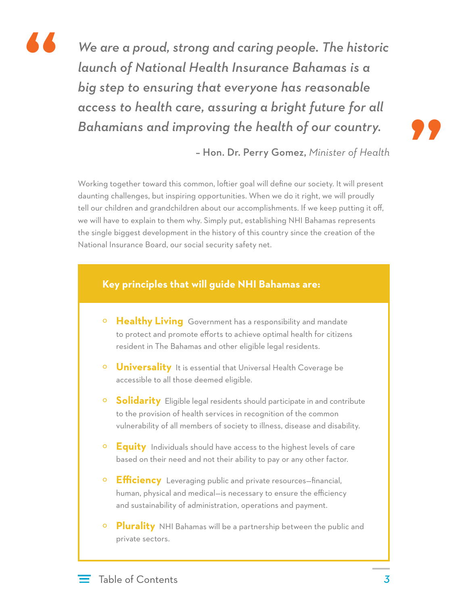

*We are a proud, strong and caring people. The historic launch of National Health Insurance Bahamas is a big step to ensuring that everyone has reasonable access to health care, assuring a bright future for all Bahamians and improving the health of our country.* 



– Hon. Dr. Perry Gomez, *Minister of Health*

Working together toward this common, loftier goal will define our society. It will present daunting challenges, but inspiring opportunities. When we do it right, we will proudly tell our children and grandchildren about our accomplishments. If we keep putting it off, we will have to explain to them why. Simply put, establishing NHI Bahamas represents the single biggest development in the history of this country since the creation of the National Insurance Board, our social security safety net.

#### **Key principles that will guide NHI Bahamas are:**

- º **Healthy Living** Government has a responsibility and mandate to protect and promote efforts to achieve optimal health for citizens resident in The Bahamas and other eligible legal residents.
- º **Universality** It is essential that Universal Health Coverage be accessible to all those deemed eligible.
- º **Solidarity** Eligible legal residents should participate in and contribute to the provision of health services in recognition of the common vulnerability of all members of society to illness, disease and disability.
- º **Equity** Individuals should have access to the highest levels of care based on their need and not their ability to pay or any other factor.
- º **Efficiency** Leveraging public and private resources—financial, human, physical and medical—is necessary to ensure the efficiency and sustainability of administration, operations and payment.
- º **Plurality** NHI Bahamas will be a partnership between the public and private sectors.

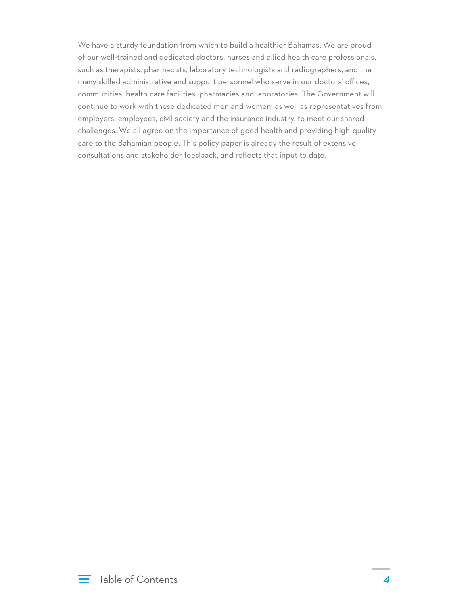We have a sturdy foundation from which to build a healthier Bahamas. We are proud of our well-trained and dedicated doctors, nurses and allied health care professionals, such as therapists, pharmacists, laboratory technologists and radiographers, and the many skilled administrative and support personnel who serve in our doctors' offices, communities, health care facilities, pharmacies and laboratories. The Government will continue to work with these dedicated men and women, as well as representatives from employers, employees, civil society and the insurance industry, to meet our shared challenges. We all agree on the importance of good health and providing high-quality care to the Bahamian people. This policy paper is already the result of extensive consultations and stakeholder feedback, and reflects that input to date.

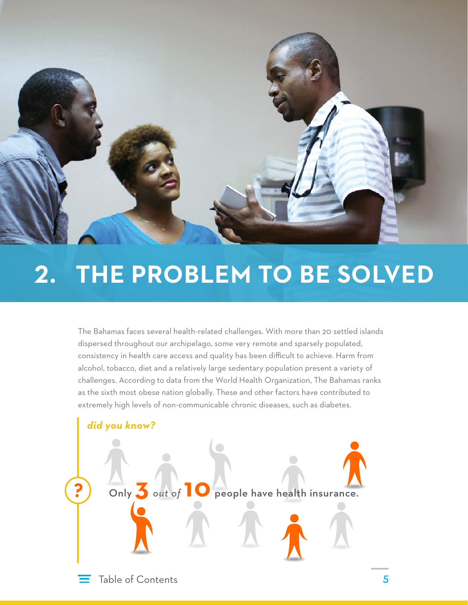<span id="page-7-0"></span>

# **2. THE PROBLEM TO BE SOLVED**

The Bahamas faces several health-related challenges. With more than 20 settled islands dispersed throughout our archipelago, some very remote and sparsely populated, consistency in health care access and quality has been difficult to achieve. Harm from alcohol, tobacco, diet and a relatively large sedentary population present a variety of challenges. According to data from the World Health Organization, The Bahamas ranks as the sixth most obese nation globally. These and other factors have contributed to extremely high levels of non-communicable chronic diseases, such as diabetes.

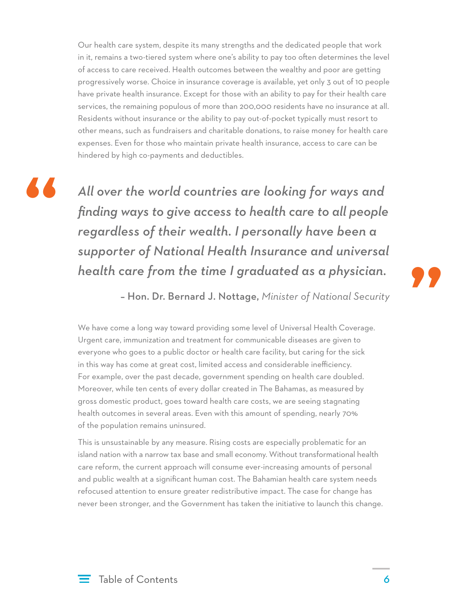Our health care system, despite its many strengths and the dedicated people that work in it, remains a two-tiered system where one's ability to pay too often determines the level of access to care received. Health outcomes between the wealthy and poor are getting progressively worse. Choice in insurance coverage is available, yet only 3 out of 10 people have private health insurance. Except for those with an ability to pay for their health care services, the remaining populous of more than 200,000 residents have no insurance at all. Residents without insurance or the ability to pay out-of-pocket typically must resort to other means, such as fundraisers and charitable donations, to raise money for health care expenses. Even for those who maintain private health insurance, access to care can be hindered by high co-payments and deductibles.

**"**

*All over the world countries are looking for ways and finding ways to give access to health care to all people regardless of their wealth. I personally have been a supporter of National Health Insurance and universal health care from the time I graduated as a physician.* 

**"**

– Hon. Dr. Bernard J. Nottage, *Minister of National Security*

We have come a long way toward providing some level of Universal Health Coverage. Urgent care, immunization and treatment for communicable diseases are given to everyone who goes to a public doctor or health care facility, but caring for the sick in this way has come at great cost, limited access and considerable inefficiency. For example, over the past decade, government spending on health care doubled. Moreover, while ten cents of every dollar created in The Bahamas, as measured by gross domestic product, goes toward health care costs, we are seeing stagnating health outcomes in several areas. Even with this amount of spending, nearly 70% of the population remains uninsured.

This is unsustainable by any measure. Rising costs are especially problematic for an island nation with a narrow tax base and small economy. Without transformational health care reform, the current approach will consume ever-increasing amounts of personal and public wealth at a significant human cost. The Bahamian health care system needs refocused attention to ensure greater redistributive impact. The case for change has never been stronger, and the Government has taken the initiative to launch this change.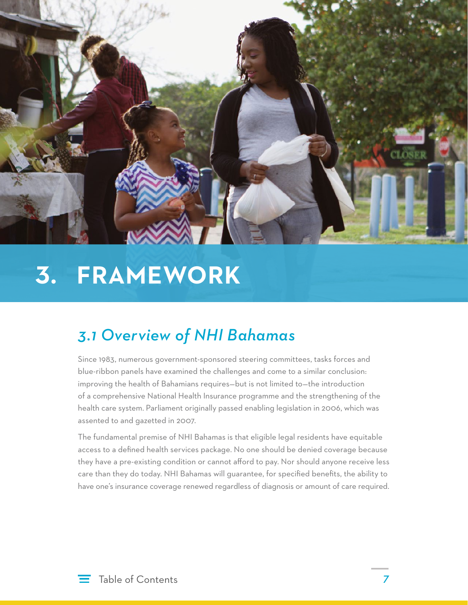<span id="page-9-0"></span>

# **3. FRAMEWORK**

### *3.1 Overview of NHI Bahamas*

Since 1983, numerous government-sponsored steering committees, tasks forces and blue-ribbon panels have examined the challenges and come to a similar conclusion: improving the health of Bahamians requires—but is not limited to—the introduction of a comprehensive National Health Insurance programme and the strengthening of the health care system. Parliament originally passed enabling legislation in 2006, which was assented to and gazetted in 2007.

The fundamental premise of NHI Bahamas is that eligible legal residents have equitable access to a defined health services package. No one should be denied coverage because they have a pre-existing condition or cannot afford to pay. Nor should anyone receive less care than they do today. NHI Bahamas will guarantee, for specified benefits, the ability to have one's insurance coverage renewed regardless of diagnosis or amount of care required.



*7*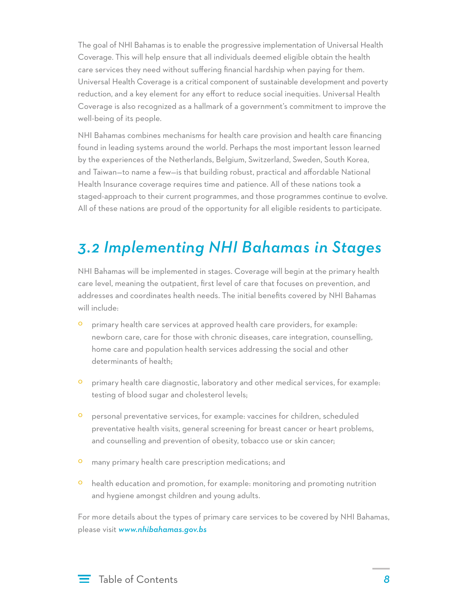<span id="page-10-0"></span>The goal of NHI Bahamas is to enable the progressive implementation of Universal Health Coverage. This will help ensure that all individuals deemed eligible obtain the health care services they need without suffering financial hardship when paying for them. Universal Health Coverage is a critical component of sustainable development and poverty reduction, and a key element for any effort to reduce social inequities. Universal Health Coverage is also recognized as a hallmark of a government's commitment to improve the well-being of its people.

NHI Bahamas combines mechanisms for health care provision and health care financing found in leading systems around the world. Perhaps the most important lesson learned by the experiences of the Netherlands, Belgium, Switzerland, Sweden, South Korea, and Taiwan—to name a few—is that building robust, practical and affordable National Health Insurance coverage requires time and patience. All of these nations took a staged-approach to their current programmes, and those programmes continue to evolve. All of these nations are proud of the opportunity for all eligible residents to participate.

#### *3.2 Implementing NHI Bahamas in Stages*

NHI Bahamas will be implemented in stages. Coverage will begin at the primary health care level, meaning the outpatient, first level of care that focuses on prevention, and addresses and coordinates health needs. The initial benefits covered by NHI Bahamas will include:

- º primary health care services at approved health care providers, for example: newborn care, care for those with chronic diseases, care integration, counselling, home care and population health services addressing the social and other determinants of health;
- º primary health care diagnostic, laboratory and other medical services, for example: testing of blood sugar and cholesterol levels;
- º personal preventative services, for example: vaccines for children, scheduled preventative health visits, general screening for breast cancer or heart problems, and counselling and prevention of obesity, tobacco use or skin cancer;
- º many primary health care prescription medications; and
- <sup>o</sup> health education and promotion, for example: monitoring and promoting nutrition and hygiene amongst children and young adults.

For more details about the types of primary care services to be covered by NHI Bahamas, please visit *[www.nhibahamas.gov.bs](http://www.nhibahamas.gov.bs)*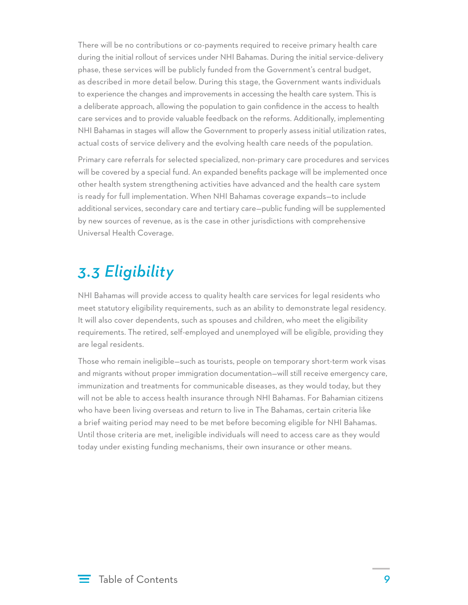<span id="page-11-0"></span>There will be no contributions or co-payments required to receive primary health care during the initial rollout of services under NHI Bahamas. During the initial service-delivery phase, these services will be publicly funded from the Government's central budget, as described in more detail below. During this stage, the Government wants individuals to experience the changes and improvements in accessing the health care system. This is a deliberate approach, allowing the population to gain confidence in the access to health care services and to provide valuable feedback on the reforms. Additionally, implementing NHI Bahamas in stages will allow the Government to properly assess initial utilization rates, actual costs of service delivery and the evolving health care needs of the population.

Primary care referrals for selected specialized, non-primary care procedures and services will be covered by a special fund. An expanded benefits package will be implemented once other health system strengthening activities have advanced and the health care system is ready for full implementation. When NHI Bahamas coverage expands—to include additional services, secondary care and tertiary care—public funding will be supplemented by new sources of revenue, as is the case in other jurisdictions with comprehensive Universal Health Coverage.

### *3.3 Eligibility*

NHI Bahamas will provide access to quality health care services for legal residents who meet statutory eligibility requirements, such as an ability to demonstrate legal residency. It will also cover dependents, such as spouses and children, who meet the eligibility requirements. The retired, self-employed and unemployed will be eligible, providing they are legal residents.

Those who remain ineligible—such as tourists, people on temporary short-term work visas and migrants without proper immigration documentation—will still receive emergency care, immunization and treatments for communicable diseases, as they would today, but they will not be able to access health insurance through NHI Bahamas. For Bahamian citizens who have been living overseas and return to live in The Bahamas, certain criteria like a brief waiting period may need to be met before becoming eligible for NHI Bahamas. Until those criteria are met, ineligible individuals will need to access care as they would today under existing funding mechanisms, their own insurance or other means.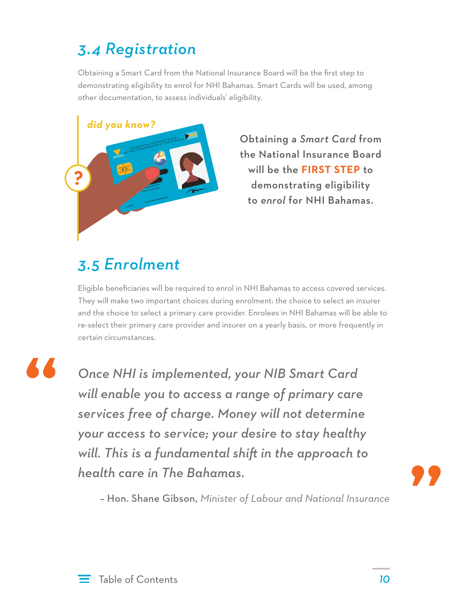## <span id="page-12-0"></span>*3.4 Registration*

Obtaining a Smart Card from the National Insurance Board will be the first step to demonstrating eligibility to enrol for NHI Bahamas. Smart Cards will be used, among other documentation, to assess individuals' eligibility.



Obtaining a *Smart Card* from the National Insurance Board will be the **FIRST STEP** to demonstrating eligibility to *enrol* for NHI Bahamas.

### *3.5 Enrolment*

Eligible beneficiaries will be required to enrol in NHI Bahamas to access covered services. They will make two important choices during enrolment: the choice to select an insurer and the choice to select a primary care provider. Enrolees in NHI Bahamas will be able to re-select their primary care provider and insurer on a yearly basis, or more frequently in certain circumstances.

**"**

*Once NHI is implemented, your NIB Smart Card will enable you to access a range of primary care services free of charge. Money will not determine your access to service; your desire to stay healthy will. This is a fundamental shift in the approach to health care in The Bahamas.*



– Hon. Shane Gibson, *Minister of Labour and National Insurance*

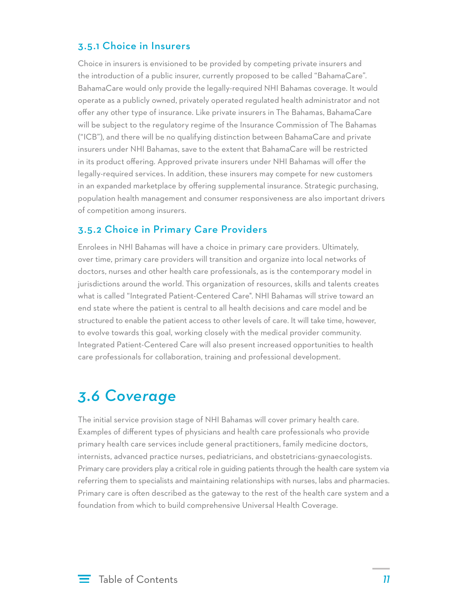#### <span id="page-13-0"></span>3.5.1 Choice in Insurers

Choice in insurers is envisioned to be provided by competing private insurers and the introduction of a public insurer, currently proposed to be called "BahamaCare". BahamaCare would only provide the legally-required NHI Bahamas coverage. It would operate as a publicly owned, privately operated regulated health administrator and not offer any other type of insurance. Like private insurers in The Bahamas, BahamaCare will be subject to the regulatory regime of the Insurance Commission of The Bahamas ("ICB"), and there will be no qualifying distinction between BahamaCare and private insurers under NHI Bahamas, save to the extent that BahamaCare will be restricted in its product offering. Approved private insurers under NHI Bahamas will offer the legally-required services. In addition, these insurers may compete for new customers in an expanded marketplace by offering supplemental insurance. Strategic purchasing, population health management and consumer responsiveness are also important drivers of competition among insurers.

#### 3.5.2 Choice in Primary Care Providers

Enrolees in NHI Bahamas will have a choice in primary care providers. Ultimately, over time, primary care providers will transition and organize into local networks of doctors, nurses and other health care professionals, as is the contemporary model in jurisdictions around the world. This organization of resources, skills and talents creates what is called "Integrated Patient-Centered Care". NHI Bahamas will strive toward an end state where the patient is central to all health decisions and care model and be structured to enable the patient access to other levels of care. It will take time, however, to evolve towards this goal, working closely with the medical provider community. Integrated Patient-Centered Care will also present increased opportunities to health care professionals for collaboration, training and professional development.

#### *3.6 Coverage*

The initial service provision stage of NHI Bahamas will cover primary health care. Examples of different types of physicians and health care professionals who provide primary health care services include general practitioners, family medicine doctors, internists, advanced practice nurses, pediatricians, and obstetricians-gynaecologists. Primary care providers play a critical role in guiding patients through the health care system via referring them to specialists and maintaining relationships with nurses, labs and pharmacies. Primary care is often described as the gateway to the rest of the health care system and a foundation from which to build comprehensive Universal Health Coverage.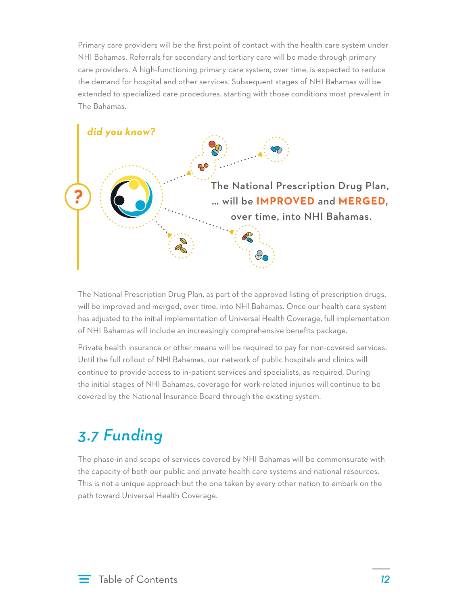<span id="page-14-0"></span>Primary care providers will be the first point of contact with the health care system under NHI Bahamas. Referrals for secondary and tertiary care will be made through primary care providers. A high-functioning primary care system, over time, is expected to reduce the demand for hospital and other services. Subsequent stages of NHI Bahamas will be extended to specialized care procedures, starting with those conditions most prevalent in The Bahamas.



The National Prescription Drug Plan, as part of the approved listing of prescription drugs, will be improved and merged, over time, into NHI Bahamas. Once our health care system has adjusted to the initial implementation of Universal Health Coverage, full implementation of NHI Bahamas will include an increasingly comprehensive benefits package.

Private health insurance or other means will be required to pay for non-covered services. Until the full rollout of NHI Bahamas, our network of public hospitals and clinics will continue to provide access to in-patient services and specialists, as required. During the initial stages of NHI Bahamas, coverage for work-related injuries will continue to be covered by the National Insurance Board through the existing system.

### *3.7 Funding*

The phase-in and scope of services covered by NHI Bahamas will be commensurate with the capacity of both our public and private health care systems and national resources. This is not a unique approach but the one taken by every other nation to embark on the path toward Universal Health Coverage.

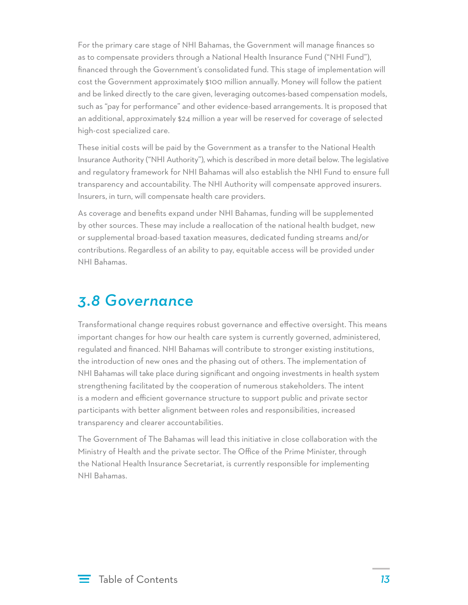<span id="page-15-0"></span>For the primary care stage of NHI Bahamas, the Government will manage finances so as to compensate providers through a National Health Insurance Fund ("NHI Fund"), financed through the Government's consolidated fund. This stage of implementation will cost the Government approximately \$100 million annually. Money will follow the patient and be linked directly to the care given, leveraging outcomes-based compensation models, such as "pay for performance" and other evidence-based arrangements. It is proposed that an additional, approximately \$24 million a year will be reserved for coverage of selected high-cost specialized care.

These initial costs will be paid by the Government as a transfer to the National Health Insurance Authority ("NHI Authority"), which is described in more detail below. The legislative and regulatory framework for NHI Bahamas will also establish the NHI Fund to ensure full transparency and accountability. The NHI Authority will compensate approved insurers. Insurers, in turn, will compensate health care providers.

As coverage and benefits expand under NHI Bahamas, funding will be supplemented by other sources. These may include a reallocation of the national health budget, new or supplemental broad-based taxation measures, dedicated funding streams and/or contributions. Regardless of an ability to pay, equitable access will be provided under NHI Bahamas.

#### *3.8 Governance*

Transformational change requires robust governance and effective oversight. This means important changes for how our health care system is currently governed, administered, regulated and financed. NHI Bahamas will contribute to stronger existing institutions, the introduction of new ones and the phasing out of others. The implementation of NHI Bahamas will take place during significant and ongoing investments in health system strengthening facilitated by the cooperation of numerous stakeholders. The intent is a modern and efficient governance structure to support public and private sector participants with better alignment between roles and responsibilities, increased transparency and clearer accountabilities.

The Government of The Bahamas will lead this initiative in close collaboration with the Ministry of Health and the private sector. The Office of the Prime Minister, through the National Health Insurance Secretariat, is currently responsible for implementing NHI Bahamas.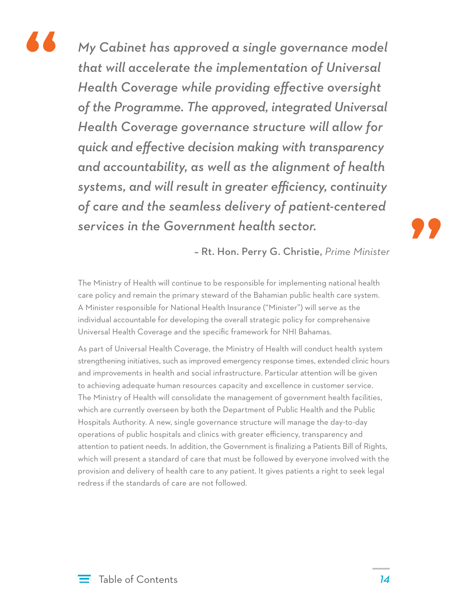

*My Cabinet has approved a single governance model that will accelerate the implementation of Universal Health Coverage while providing effective oversight of the Programme. The approved, integrated Universal Health Coverage governance structure will allow for quick and effective decision making with transparency and accountability, as well as the alignment of health systems, and will result in greater efficiency, continuity of care and the seamless delivery of patient-centered services in the Government health sector.* 

**"**

– Rt. Hon. Perry G. Christie, *Prime Minister*

The Ministry of Health will continue to be responsible for implementing national health care policy and remain the primary steward of the Bahamian public health care system. A Minister responsible for National Health Insurance ("Minister") will serve as the individual accountable for developing the overall strategic policy for comprehensive Universal Health Coverage and the specific framework for NHI Bahamas.

As part of Universal Health Coverage, the Ministry of Health will conduct health system strengthening initiatives, such as improved emergency response times, extended clinic hours and improvements in health and social infrastructure. Particular attention will be given to achieving adequate human resources capacity and excellence in customer service. The Ministry of Health will consolidate the management of government health facilities, which are currently overseen by both the Department of Public Health and the Public Hospitals Authority. A new, single governance structure will manage the day-to-day operations of public hospitals and clinics with greater efficiency, transparency and attention to patient needs. In addition, the Government is finalizing a Patients Bill of Rights, which will present a standard of care that must be followed by everyone involved with the provision and delivery of health care to any patient. It gives patients a right to seek legal redress if the standards of care are not followed.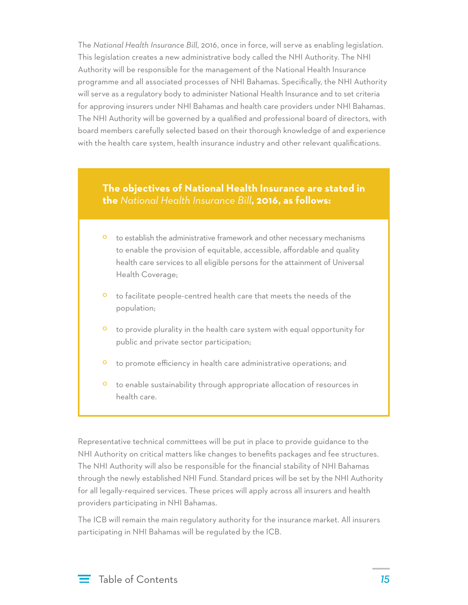The *National Health Insurance Bill*, 2016, once in force, will serve as enabling legislation. This legislation creates a new administrative body called the NHI Authority. The NHI Authority will be responsible for the management of the National Health Insurance programme and all associated processes of NHI Bahamas. Specifically, the NHI Authority will serve as a regulatory body to administer National Health Insurance and to set criteria for approving insurers under NHI Bahamas and health care providers under NHI Bahamas. The NHI Authority will be governed by a qualified and professional board of directors, with board members carefully selected based on their thorough knowledge of and experience with the health care system, health insurance industry and other relevant qualifications.

#### **The objectives of National Health Insurance are stated in the** *National Health Insurance Bill***, 2016, as follows:**

- to establish the administrative framework and other necessary mechanisms to enable the provision of equitable, accessible, affordable and quality health care services to all eligible persons for the attainment of Universal Health Coverage;
- º to facilitate people-centred health care that meets the needs of the population;
- º to provide plurality in the health care system with equal opportunity for public and private sector participation;
- º to promote efficiency in health care administrative operations; and
- º to enable sustainability through appropriate allocation of resources in health care.

Representative technical committees will be put in place to provide guidance to the NHI Authority on critical matters like changes to benefits packages and fee structures. The NHI Authority will also be responsible for the financial stability of NHI Bahamas through the newly established NHI Fund. Standard prices will be set by the NHI Authority for all legally-required services. These prices will apply across all insurers and health providers participating in NHI Bahamas.

The ICB will remain the main regulatory authority for the insurance market. All insurers participating in NHI Bahamas will be regulated by the ICB.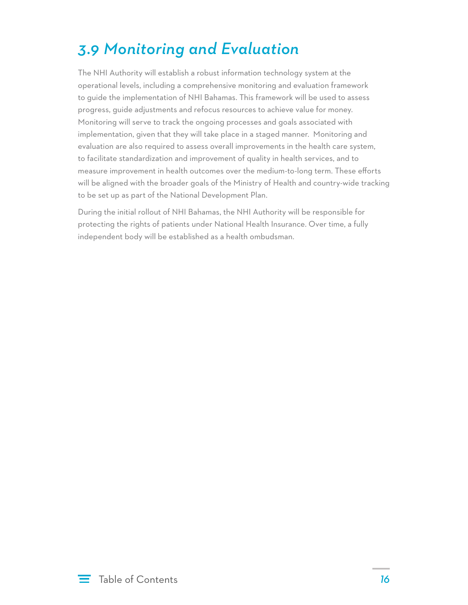## <span id="page-18-0"></span>*3.9 Monitoring and Evaluation*

The NHI Authority will establish a robust information technology system at the operational levels, including a comprehensive monitoring and evaluation framework to guide the implementation of NHI Bahamas. This framework will be used to assess progress, guide adjustments and refocus resources to achieve value for money. Monitoring will serve to track the ongoing processes and goals associated with implementation, given that they will take place in a staged manner. Monitoring and evaluation are also required to assess overall improvements in the health care system, to facilitate standardization and improvement of quality in health services, and to measure improvement in health outcomes over the medium-to-long term. These efforts will be aligned with the broader goals of the Ministry of Health and country-wide tracking to be set up as part of the National Development Plan.

During the initial rollout of NHI Bahamas, the NHI Authority will be responsible for protecting the rights of patients under National Health Insurance. Over time, a fully independent body will be established as a health ombudsman.

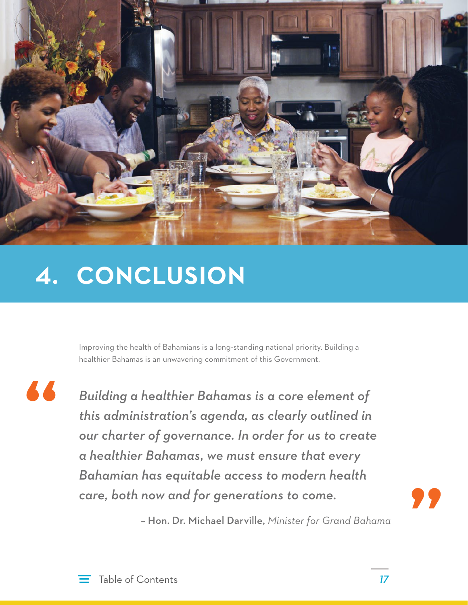<span id="page-19-0"></span>

# **4. CONCLUSION**

Improving the health of Bahamians is a long-standing national priority. Building a healthier Bahamas is an unwavering commitment of this Government.

**"**

*Building a healthier Bahamas is a core element of this administration's agenda, as clearly outlined in our charter of governance. In order for us to create a healthier Bahamas, we must ensure that every Bahamian has equitable access to modern health care, both now and for generations to come.* 

**"**

– Hon. Dr. Michael Darville, *Minister for Grand Bahama*

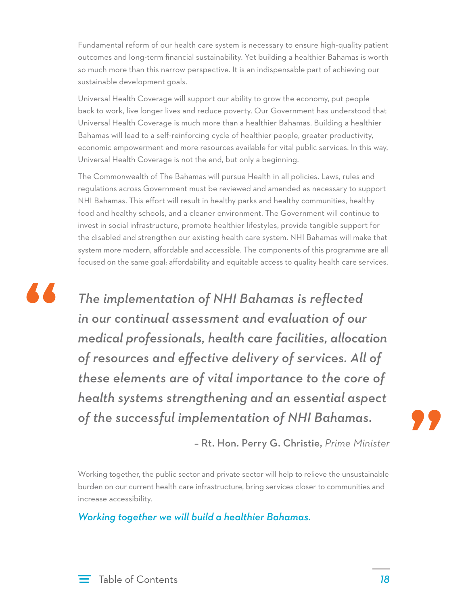Fundamental reform of our health care system is necessary to ensure high-quality patient outcomes and long-term financial sustainability. Yet building a healthier Bahamas is worth so much more than this narrow perspective. It is an indispensable part of achieving our sustainable development goals.

Universal Health Coverage will support our ability to grow the economy, put people back to work, live longer lives and reduce poverty. Our Government has understood that Universal Health Coverage is much more than a healthier Bahamas. Building a healthier Bahamas will lead to a self-reinforcing cycle of healthier people, greater productivity, economic empowerment and more resources available for vital public services. In this way, Universal Health Coverage is not the end, but only a beginning.

The Commonwealth of The Bahamas will pursue Health in all policies. Laws, rules and regulations across Government must be reviewed and amended as necessary to support NHI Bahamas. This effort will result in healthy parks and healthy communities, healthy food and healthy schools, and a cleaner environment. The Government will continue to invest in social infrastructure, promote healthier lifestyles, provide tangible support for the disabled and strengthen our existing health care system. NHI Bahamas will make that system more modern, affordable and accessible. The components of this programme are all focused on the same goal: affordability and equitable access to quality health care services.



*The implementation of NHI Bahamas is reflected in our continual assessment and evaluation of our medical professionals, health care facilities, allocation of resources and effective delivery of services. All of these elements are of vital importance to the core of health systems strengthening and an essential aspect of the successful implementation of NHI Bahamas.* 



– Rt. Hon. Perry G. Christie, *Prime Minister*

Working together, the public sector and private sector will help to relieve the unsustainable burden on our current health care infrastructure, bring services closer to communities and increase accessibility.

*Working together we will build a healthier Bahamas.*